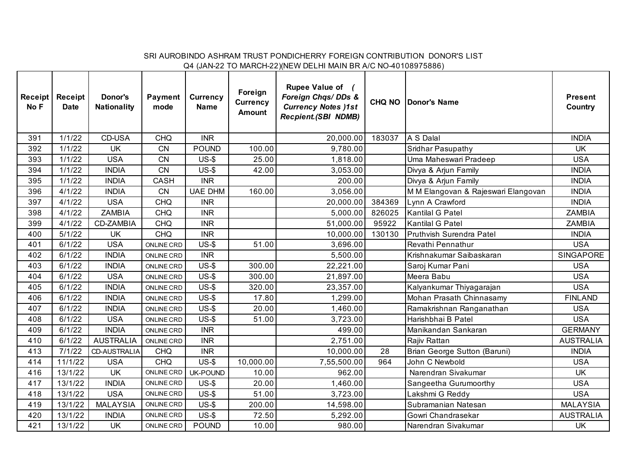## SRI AUROBINDO ASHRAM TRUST PONDICHERRY FOREIGN CONTRIBUTION DONOR'S LIST Q4 (JAN-22 TO MARCH-22)(NEW DELHI MAIN BR A/C NO-40108975886)

| Receipt<br>No F | <b>Receipt</b><br><b>Date</b> | Donor's<br><b>Nationality</b> | <b>Payment</b><br>mode | <b>Currency</b><br><b>Name</b> | Foreign<br><b>Currency</b><br><b>Amount</b> | <b>Rupee Value of</b><br>Foreign Chqs/DDs &<br><b>Currency Notes )1st</b><br><b>Recpient.(SBI NDMB)</b> | <b>CHQ NO</b> | Donor's Name                        | <b>Present</b><br>Country |
|-----------------|-------------------------------|-------------------------------|------------------------|--------------------------------|---------------------------------------------|---------------------------------------------------------------------------------------------------------|---------------|-------------------------------------|---------------------------|
| 391             | 1/1/22                        | CD-USA                        | CHQ                    | <b>INR</b>                     |                                             | 20,000.00                                                                                               | 183037        | A S Dalal                           | <b>INDIA</b>              |
| 392             | 1/1/22                        | <b>UK</b>                     | CN                     | <b>POUND</b>                   | 100.00                                      | 9,780.00                                                                                                |               | Sridhar Pasupathy                   | <b>UK</b>                 |
| 393             | 1/1/22                        | <b>USA</b>                    | CN                     | $US-5$                         | 25.00                                       | 1,818.00                                                                                                |               | Uma Maheswari Pradeep               | <b>USA</b>                |
| 394             | 1/1/22                        | <b>INDIA</b>                  | <b>CN</b>              | $US-5$                         | 42.00                                       | 3,053.00                                                                                                |               | Divya & Arjun Family                | <b>INDIA</b>              |
| 395             | 1/1/22                        | <b>INDIA</b>                  | CASH                   | <b>INR</b>                     |                                             | 200.00                                                                                                  |               | Divya & Arjun Family                | <b>INDIA</b>              |
| 396             | 4/1/22                        | <b>INDIA</b>                  | CN                     | <b>UAE DHM</b>                 | 160.00                                      | 3,056.00                                                                                                |               | M M Elangovan & Rajeswari Elangovan | <b>INDIA</b>              |
| 397             | 4/1/22                        | <b>USA</b>                    | <b>CHQ</b>             | <b>INR</b>                     |                                             | 20,000.00                                                                                               | 384369        | Lynn A Crawford                     | <b>INDIA</b>              |
| 398             | 4/1/22                        | <b>ZAMBIA</b>                 | <b>CHQ</b>             | <b>INR</b>                     |                                             | 5,000.00                                                                                                | 826025        | Kantilal G Patel                    | <b>ZAMBIA</b>             |
| 399             | 4/1/22                        | CD-ZAMBIA                     | <b>CHQ</b>             | <b>INR</b>                     |                                             | 51,000.00                                                                                               | 95922         | Kantilal G Patel                    | <b>ZAMBIA</b>             |
| 400             | 5/1/22                        | <b>UK</b>                     | <b>CHQ</b>             | <b>INR</b>                     |                                             | 10,000.00                                                                                               | 130130        | Pruthvish Surendra Patel            | <b>INDIA</b>              |
| 401             | 6/1/22                        | <b>USA</b>                    | <b>ONLINE CRD</b>      | $US-5$                         | 51.00                                       | 3,696.00                                                                                                |               | Revathi Pennathur                   | <b>USA</b>                |
| 402             | 6/1/22                        | <b>INDIA</b>                  | ONLINE CRD             | <b>INR</b>                     |                                             | 5,500.00                                                                                                |               | Krishnakumar Saibaskaran            | <b>SINGAPORE</b>          |
| 403             | 6/1/22                        | <b>INDIA</b>                  | ONLINE CRD             | $US-$ \$                       | 300.00                                      | 22,221.00                                                                                               |               | Saroj Kumar Pani                    | <b>USA</b>                |
| 404             | 6/1/22                        | <b>USA</b>                    | <b>ONLINE CRD</b>      | $US-$ \$                       | 300.00                                      | 21,897.00                                                                                               |               | Meera Babu                          | <b>USA</b>                |
| 405             | 6/1/22                        | <b>INDIA</b>                  | <b>ONLINE CRD</b>      | $US-5$                         | 320.00                                      | 23,357.00                                                                                               |               | Kalyankumar Thiyagarajan            | <b>USA</b>                |
| 406             | 6/1/22                        | <b>INDIA</b>                  | ONLINE CRD             | $US-$ \$                       | 17.80                                       | 1,299.00                                                                                                |               | Mohan Prasath Chinnasamy            | <b>FINLAND</b>            |
| 407             | 6/1/22                        | <b>INDIA</b>                  | <b>ONLINE CRD</b>      | $US-$ \$                       | 20.00                                       | 1,460.00                                                                                                |               | Ramakrishnan Ranganathan            | <b>USA</b>                |
| 408             | 6/1/22                        | <b>USA</b>                    | <b>ONLINE CRD</b>      | $US-5$                         | 51.00                                       | 3,723.00                                                                                                |               | Harishbhai B Patel                  | <b>USA</b>                |
| 409             | 6/1/22                        | <b>INDIA</b>                  | <b>ONLINE CRD</b>      | <b>INR</b>                     |                                             | 499.00                                                                                                  |               | Manikandan Sankaran                 | <b>GERMANY</b>            |
| 410             | 6/1/22                        | <b>AUSTRALIA</b>              | <b>ONLINE CRD</b>      | <b>INR</b>                     |                                             | 2,751.00                                                                                                |               | Rajiv Rattan                        | <b>AUSTRALIA</b>          |
| 413             | 7/1/22                        | <b>CD-AUSTRALIA</b>           | <b>CHQ</b>             | <b>INR</b>                     |                                             | 10,000.00                                                                                               | 28            | Brian George Sutton (Baruni)        | <b>INDIA</b>              |
| 414             | 11/1/22                       | <b>USA</b>                    | <b>CHQ</b>             | $US-$ \$                       | 10,000.00                                   | 7,55,500.00                                                                                             | 964           | John C Newbold                      | <b>USA</b>                |
| 416             | 13/1/22                       | UK                            | ONLINE CRD             | UK-POUND                       | 10.00                                       | 962.00                                                                                                  |               | Narendran Sivakumar                 | UK                        |
| 417             | 13/1/22                       | <b>INDIA</b>                  | <b>ONLINE CRD</b>      | $US-5$                         | 20.00                                       | 1,460.00                                                                                                |               | Sangeetha Gurumoorthy               | <b>USA</b>                |
| 418             | 13/1/22                       | <b>USA</b>                    | <b>ONLINE CRD</b>      | $US-5$                         | 51.00                                       | 3,723.00                                                                                                |               | Lakshmi G Reddy                     | <b>USA</b>                |
| 419             | 13/1/22                       | <b>MALAYSIA</b>               | <b>ONLINE CRD</b>      | $US-5$                         | 200.00                                      | 14,598.00                                                                                               |               | Subramanian Natesan                 | <b>MALAYSIA</b>           |
| 420             | 13/1/22                       | <b>INDIA</b>                  | <b>ONLINE CRD</b>      | $US-$ \$                       | 72.50                                       | 5,292.00                                                                                                |               | Gowri Chandrasekar                  | <b>AUSTRALIA</b>          |
| 421             | 13/1/22                       | UK                            | <b>ONLINE CRD</b>      | <b>POUND</b>                   | 10.00                                       | 980.00                                                                                                  |               | Narendran Sivakumar                 | <b>UK</b>                 |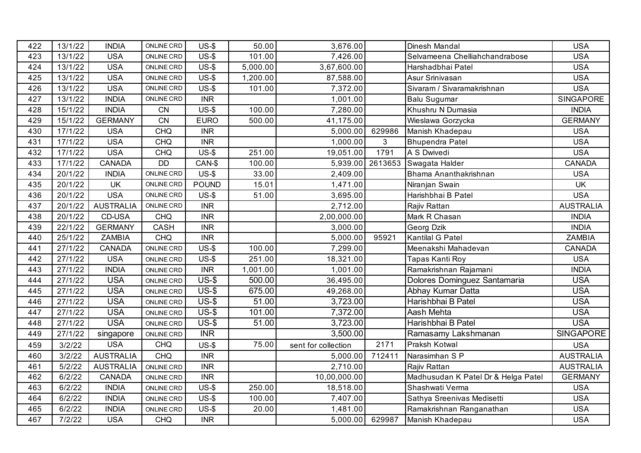| 422 | 13/1/22 | <b>INDIA</b>     | ONLINE CRD        | $US-5$       | 50.00    | 3,676.00            |         | Dinesh Mandal                       | <b>USA</b>       |
|-----|---------|------------------|-------------------|--------------|----------|---------------------|---------|-------------------------------------|------------------|
| 423 | 13/1/22 | <b>USA</b>       | ONLINE CRD        | $US-$$       | 101.00   | 7,426.00            |         | Selvameena Chelliahchandrabose      | <b>USA</b>       |
| 424 | 13/1/22 | <b>USA</b>       | ONLINE CRD        | $US-$$       | 5,000.00 | 3,67,600.00         |         | Harshadbhai Patel                   | <b>USA</b>       |
| 425 | 13/1/22 | <b>USA</b>       | ONLINE CRD        | $US-$$       | 1,200.00 | 87,588.00           |         | Asur Srinivasan                     | <b>USA</b>       |
| 426 | 13/1/22 | <b>USA</b>       | ONLINE CRD        | $US-$$       | 101.00   | 7,372.00            |         | Sivaram / Sivaramakrishnan          | <b>USA</b>       |
| 427 | 13/1/22 | <b>INDIA</b>     | <b>ONLINE CRD</b> | <b>INR</b>   |          | 1,001.00            |         | <b>Balu Sugumar</b>                 | SINGAPORE        |
| 428 | 15/1/22 | <b>INDIA</b>     | <b>CN</b>         | $US-$$       | 100.00   | 7,280.00            |         | Khushru N Dumasia                   | <b>INDIA</b>     |
| 429 | 15/1/22 | <b>GERMANY</b>   | <b>CN</b>         | <b>EURO</b>  | 500.00   | 41,175.00           |         | Wieslawa Gorzycka                   | <b>GERMANY</b>   |
| 430 | 17/1/22 | <b>USA</b>       | <b>CHQ</b>        | <b>INR</b>   |          | 5,000.00            | 629986  | Manish Khadepau                     | <b>USA</b>       |
| 431 | 17/1/22 | <b>USA</b>       | <b>CHQ</b>        | <b>INR</b>   |          | 1,000.00            | 3       | <b>Bhupendra Patel</b>              | <b>USA</b>       |
| 432 | 17/1/22 | <b>USA</b>       | <b>CHQ</b>        | $US-$$       | 251.00   | 19,051.00           | 1791    | A S Dwivedi                         | <b>USA</b>       |
| 433 | 17/1/22 | <b>CANADA</b>    | <b>DD</b>         | CAN-\$       | 100.00   | 5,939.00            | 2613653 | Swagata Halder                      | <b>CANADA</b>    |
| 434 | 20/1/22 | <b>INDIA</b>     | ONLINE CRD        | $US-$ \$     | 33.00    | 2,409.00            |         | Bhama Ananthakrishnan               | <b>USA</b>       |
| 435 | 20/1/22 | <b>UK</b>        | ONLINE CRD        | <b>POUND</b> | 15.01    | 1,471.00            |         | Niranjan Swain                      | <b>UK</b>        |
| 436 | 20/1/22 | <b>USA</b>       | ONLINE CRD        | $US-$ \$     | 51.00    | 3,695.00            |         | Harishbhai B Patel                  | <b>USA</b>       |
| 437 | 20/1/22 | <b>AUSTRALIA</b> | ONLINE CRD        | <b>INR</b>   |          | 2,712.00            |         | Rajiv Rattan                        | <b>AUSTRALIA</b> |
| 438 | 20/1/22 | CD-USA           | <b>CHQ</b>        | <b>INR</b>   |          | 2,00,000.00         |         | Mark R Chasan                       | <b>INDIA</b>     |
| 439 | 22/1/22 | <b>GERMANY</b>   | CASH              | <b>INR</b>   |          | 3,000.00            |         | Georg Dzik                          | <b>INDIA</b>     |
| 440 | 25/1/22 | <b>ZAMBIA</b>    | <b>CHQ</b>        | <b>INR</b>   |          | 5,000.00            | 95921   | Kantilal G Patel                    | <b>ZAMBIA</b>    |
| 441 | 27/1/22 | <b>CANADA</b>    | ONLINE CRD        | $US-$$       | 100.00   | 7,299.00            |         | Meenakshi Mahadevan                 | <b>CANADA</b>    |
| 442 | 27/1/22 | <b>USA</b>       | <b>ONLINE CRD</b> | $US-5$       | 251.00   | 18,321.00           |         | Tapas Kanti Roy                     | <b>USA</b>       |
| 443 | 27/1/22 | <b>INDIA</b>     | <b>ONLINE CRD</b> | <b>INR</b>   | 1,001.00 | 1,001.00            |         | Ramakrishnan Rajamani               | <b>INDIA</b>     |
| 444 | 27/1/22 | <b>USA</b>       | <b>ONLINE CRD</b> | $US-5$       | 500.00   | 36,495.00           |         | Dolores Dominguez Santamaria        | <b>USA</b>       |
| 445 | 27/1/22 | <b>USA</b>       | <b>ONLINE CRD</b> | $US-5$       | 675.00   | 49,268.00           |         | Abhay Kumar Datta                   | <b>USA</b>       |
| 446 | 27/1/22 | <b>USA</b>       | <b>ONLINE CRD</b> | $US-5$       | 51.00    | 3,723.00            |         | Harishbhai B Patel                  | <b>USA</b>       |
| 447 | 27/1/22 | <b>USA</b>       | ONLINE CRD        | $US-5$       | 101.00   | 7,372.00            |         | Aash Mehta                          | <b>USA</b>       |
| 448 | 27/1/22 | <b>USA</b>       | ONLINE CRD        | $US-5$       | 51.00    | 3,723.00            |         | Harishbhai B Patel                  | <b>USA</b>       |
| 449 | 27/1/22 | singapore        | ONLINE CRD        | <b>INR</b>   |          | 3,500.00            |         | Ramasamy Lakshmanan                 | <b>SINGAPORE</b> |
| 459 | 3/2/22  | <b>USA</b>       | <b>CHQ</b>        | $US-$ \$     | 75.00    | sent for collection | 2171    | Praksh Kotwal                       | <b>USA</b>       |
| 460 | 3/2/22  | <b>AUSTRALIA</b> | <b>CHQ</b>        | <b>INR</b>   |          | 5,000.00            | 712411  | Narasimhan S P                      | <b>AUSTRALIA</b> |
| 461 | 5/2/22  | <b>AUSTRALIA</b> | ONLINE CRD        | <b>INR</b>   |          | 2,710.00            |         | Rajiv Rattan                        | <b>AUSTRALIA</b> |
| 462 | 6/2/22  | <b>CANADA</b>    | ONLINE CRD        | <b>INR</b>   |          | 10,00,000.00        |         | Madhusudan K Patel Dr & Helga Patel | <b>GERMANY</b>   |
| 463 | 6/2/22  | <b>INDIA</b>     | <b>ONLINE CRD</b> | $US-$$       | 250.00   | 18,518.00           |         | Shashwati Verma                     | <b>USA</b>       |
| 464 | 6/2/22  | <b>INDIA</b>     | ONLINE CRD        | $US-5$       | 100.00   | 7,407.00            |         | Sathya Sreenivas Medisetti          | <b>USA</b>       |
| 465 | 6/2/22  | <b>INDIA</b>     | ONLINE CRD        | $US-$ \$     | 20.00    | 1,481.00            |         | Ramakrishnan Ranganathan            | <b>USA</b>       |
| 467 | 7/2/22  | <b>USA</b>       | <b>CHQ</b>        | <b>INR</b>   |          | 5,000.00            | 629987  | Manish Khadepau                     | <b>USA</b>       |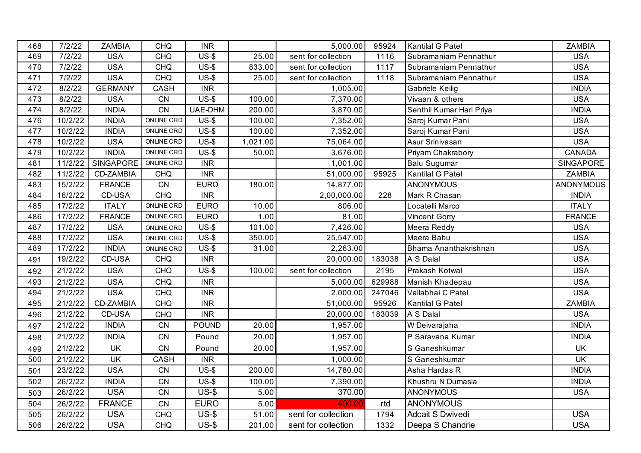| 468 | 7/2/22  | <b>ZAMBIA</b>    | <b>CHQ</b>        | <b>INR</b>   |          | 5,000.00            | 95924  | Kantilal G Patel         | <b>ZAMBIA</b>    |
|-----|---------|------------------|-------------------|--------------|----------|---------------------|--------|--------------------------|------------------|
| 469 | 7/2/22  | <b>USA</b>       | <b>CHQ</b>        | $US-5$       | 25.00    | sent for collection | 1116   | Subramaniam Pennathur    | <b>USA</b>       |
| 470 | 7/2/22  | <b>USA</b>       | <b>CHQ</b>        | $US-5$       | 833.00   | sent for collection | 1117   | Subramaniam Pennathur    | <b>USA</b>       |
| 471 | 7/2/22  | <b>USA</b>       | <b>CHQ</b>        | $US-5$       | 25.00    | sent for collection | 1118   | Subramaniam Pennathur    | <b>USA</b>       |
| 472 | 8/2/22  | <b>GERMANY</b>   | CASH              | <b>INR</b>   |          | 1,005.00            |        | Gabriele Keilig          | <b>INDIA</b>     |
| 473 | 8/2/22  | <b>USA</b>       | CN                | $US-5$       | 100.00   | 7,370.00            |        | Vivaan & others          | <b>USA</b>       |
| 474 | 8/2/22  | <b>INDIA</b>     | CN                | UAE-DHM      | 200.00   | 3,870.00            |        | Senthil Kumar Hari Priya | <b>INDIA</b>     |
| 476 | 10/2/22 | <b>INDIA</b>     | ONLINE CRD        | $US-5$       | 100.00   | 7,352.00            |        | Saroj Kumar Pani         | <b>USA</b>       |
| 477 | 10/2/22 | <b>INDIA</b>     | ONLINE CRD        | $US-5$       | 100.00   | 7,352.00            |        | Saroj Kumar Pani         | <b>USA</b>       |
| 478 | 10/2/22 | <b>USA</b>       | <b>ONLINE CRD</b> | $US-5$       | 1,021.00 | 75,064.00           |        | Asur Srinivasan          | <b>USA</b>       |
| 479 | 10/2/22 | <b>INDIA</b>     | ONLINE CRD        | $US-5$       | 50.00    | 3,676.00            |        | Priyam Chakrabory        | <b>CANADA</b>    |
| 481 | 11/2/22 | <b>SINGAPORE</b> | <b>ONLINE CRD</b> | <b>INR</b>   |          | 1,001.00            |        | <b>Balu Sugumar</b>      | SINGAPORE        |
| 482 | 11/2/22 | CD-ZAMBIA        | <b>CHQ</b>        | <b>INR</b>   |          | 51,000.00           | 95925  | Kantilal G Patel         | <b>ZAMBIA</b>    |
| 483 | 15/2/22 | <b>FRANCE</b>    | CN                | <b>EURO</b>  | 180.00   | 14,877.00           |        | ANONYMOUS                | <b>ANONYMOUS</b> |
| 484 | 16/2/22 | CD-USA           | <b>CHQ</b>        | <b>INR</b>   |          | 2,00,000.00         | 228    | Mark R Chasan            | <b>INDIA</b>     |
| 485 | 17/2/22 | <b>ITALY</b>     | ONLINE CRD        | <b>EURO</b>  | 10.00    | 806.00              |        | Locatelli Marco          | <b>ITALY</b>     |
| 486 | 17/2/22 | <b>FRANCE</b>    | ONLINE CRD        | <b>EURO</b>  | 1.00     | 81.00               |        | <b>Vincent Gorry</b>     | <b>FRANCE</b>    |
| 487 | 17/2/22 | <b>USA</b>       | ONLINE CRD        | $US-5$       | 101.00   | 7,426.00            |        | Meera Reddy              | <b>USA</b>       |
| 488 | 17/2/22 | <b>USA</b>       | ONLINE CRD        | $US-5$       | 350.00   | 25,547.00           |        | Meera Babu               | <b>USA</b>       |
| 489 | 17/2/22 | <b>INDIA</b>     | ONLINE CRD        | $US-5$       | 31.00    | 2,263.00            |        | Bhama Ananthakrishnan    | <b>USA</b>       |
| 491 | 19/2/22 | CD-USA           | <b>CHQ</b>        | <b>INR</b>   |          | 20,000.00           | 183038 | A S Dalal                | <b>USA</b>       |
| 492 | 21/2/22 | <b>USA</b>       | CHQ               | $US-5$       | 100.00   | sent for collection | 2195   | Prakash Kotwal           | <b>USA</b>       |
| 493 | 21/2/22 | <b>USA</b>       | <b>CHQ</b>        | <b>INR</b>   |          | 5,000.00            | 629988 | Manish Khadepau          | <b>USA</b>       |
| 494 | 21/2/22 | <b>USA</b>       | <b>CHQ</b>        | <b>INR</b>   |          | 2,000.00            | 247046 | Vallabhai C Patel        | <b>USA</b>       |
| 495 | 21/2/22 | CD-ZAMBIA        | <b>CHQ</b>        | <b>INR</b>   |          | 51,000.00           | 95926  | Kantilal G Patel         | ZAMBIA           |
| 496 | 21/2/22 | CD-USA           | CHQ               | <b>INR</b>   |          | 20,000.00           | 183039 | A S Dalal                | <b>USA</b>       |
| 497 | 21/2/22 | <b>INDIA</b>     | CN                | <b>POUND</b> | 20.00    | 1,957.00            |        | W Deivarajaha            | <b>INDIA</b>     |
| 498 | 21/2/22 | <b>INDIA</b>     | <b>CN</b>         | Pound        | 20.00    | 1,957.00            |        | P Saravana Kumar         | <b>INDIA</b>     |
| 499 | 21/2/22 | <b>UK</b>        | <b>CN</b>         | Pound        | 20.00    | 1,957.00            |        | S Ganeshkumar            | <b>UK</b>        |
| 500 | 21/2/22 | <b>UK</b>        | <b>CASH</b>       | <b>INR</b>   |          | 1,000.00            |        | S Ganeshkumar            | UK               |
| 501 | 23/2/22 | <b>USA</b>       | CN                | $US-5$       | 200.00   | 14,780.00           |        | Asha Hardas R            | <b>INDIA</b>     |
| 502 | 26/2/22 | <b>INDIA</b>     | CN                | $US-5$       | 100.00   | 7,390.00            |        | Khushru N Dumasia        | <b>INDIA</b>     |
| 503 | 26/2/22 | <b>USA</b>       | CN                | $US-5$       | 5.00     | 370.00              |        | <b>ANONYMOUS</b>         | <b>USA</b>       |
| 504 | 26/2/22 | <b>FRANCE</b>    | <b>CN</b>         | <b>EURO</b>  | 5.00     | 400.00              | rtd    | <b>ANONYMOUS</b>         |                  |
| 505 | 26/2/22 | <b>USA</b>       | <b>CHQ</b>        | $US-5$       | 51.00    | sent for collection | 1794   | Adcait S Dwivedi         | <b>USA</b>       |
| 506 | 26/2/22 | <b>USA</b>       | <b>CHQ</b>        | $US-5$       | 201.00   | sent for collection | 1332   | Deepa S Chandrie         | <b>USA</b>       |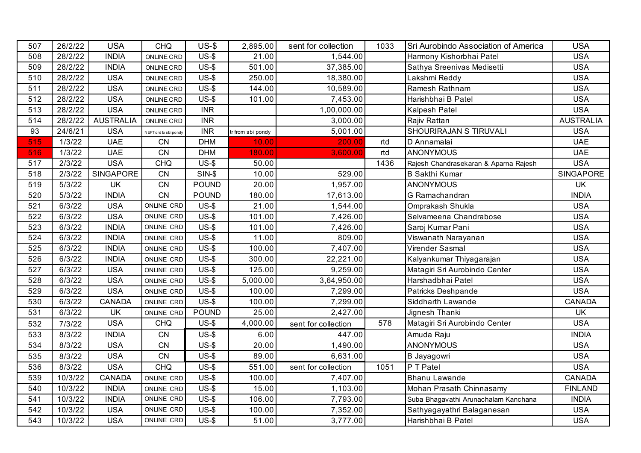| 507 | 26/2/22 | <b>USA</b>       | <b>CHQ</b>            | $US-5$       | 2,895.00          | sent for collection | 1033 | Sri Aurobindo Association of America  | <b>USA</b>       |
|-----|---------|------------------|-----------------------|--------------|-------------------|---------------------|------|---------------------------------------|------------------|
| 508 | 28/2/22 | <b>INDIA</b>     | <b>ONLINE CRD</b>     | $US-5$       | 21.00             | 1,544.00            |      | Harmony Kishorbhai Patel              | <b>USA</b>       |
| 509 | 28/2/22 | <b>INDIA</b>     | <b>ONLINE CRD</b>     | $US-5$       | 501.00            | 37,385.00           |      | Sathya Sreenivas Medisetti            | <b>USA</b>       |
| 510 | 28/2/22 | <b>USA</b>       | ONLINE CRD            | $US-5$       | 250.00            | 18,380.00           |      | Lakshmi Reddy                         | <b>USA</b>       |
| 511 | 28/2/22 | <b>USA</b>       | <b>ONLINE CRD</b>     | $US-$ \$     | 144.00            | 10,589.00           |      | Ramesh Rathnam                        | <b>USA</b>       |
| 512 | 28/2/22 | <b>USA</b>       | <b>ONLINE CRD</b>     | $US-5$       | 101.00            | 7,453.00            |      | Harishbhai B Patel                    | <b>USA</b>       |
| 513 | 28/2/22 | <b>USA</b>       | ONLINE CRD            | <b>INR</b>   |                   | 1,00,000.00         |      | Kalpesh Patel                         | <b>USA</b>       |
| 514 | 28/2/22 | <b>AUSTRALIA</b> | <b>ONLINE CRD</b>     | <b>INR</b>   |                   | 3,000.00            |      | Rajiv Rattan                          | <b>AUSTRALIA</b> |
| 93  | 24/6/21 | <b>USA</b>       | NEFT crd to sbi pondy | <b>INR</b>   | tr from sbi pondy | 5,001.00            |      | SHOURIRAJAN S TIRUVALI                | <b>USA</b>       |
| 515 | 1/3/22  | <b>UAE</b>       | CN                    | <b>DHM</b>   | 10.00             | 200.00              | rtd  | D Annamalai                           | <b>UAE</b>       |
| 516 | 1/3/22  | <b>UAE</b>       | CN                    | <b>DHM</b>   | 180.00            | 3,600.00            | rtd  | <b>ANONYMOUS</b>                      | <b>UAE</b>       |
| 517 | 2/3/22  | <b>USA</b>       | <b>CHQ</b>            | $US-5$       | 50.00             |                     | 1436 | Rajesh Chandrasekaran & Aparna Rajesh | <b>USA</b>       |
| 518 | 2/3/22  | <b>SINGAPORE</b> | CN                    | $SIN-5$      | 10.00             | 529.00              |      | <b>B Sakthi Kumar</b>                 | SINGAPORE        |
| 519 | 5/3/22  | <b>UK</b>        | <b>CN</b>             | <b>POUND</b> | 20.00             | 1,957.00            |      | <b>ANONYMOUS</b>                      | <b>UK</b>        |
| 520 | 5/3/22  | <b>INDIA</b>     | CN                    | <b>POUND</b> | 180.00            | 17,613.00           |      | G Ramachandran                        | <b>INDIA</b>     |
| 521 | 6/3/22  | <b>USA</b>       | ONLINE CRD            | $US-5$       | 21.00             | 1,544.00            |      | Omprakash Shukla                      | <b>USA</b>       |
| 522 | 6/3/22  | <b>USA</b>       | ONLINE CRD            | $US-5$       | 101.00            | 7,426.00            |      | Selvameena Chandrabose                | <b>USA</b>       |
| 523 | 6/3/22  | <b>INDIA</b>     | ONLINE CRD            | $US-5$       | 101.00            | 7,426.00            |      | Saroj Kumar Pani                      | <b>USA</b>       |
| 524 | 6/3/22  | <b>INDIA</b>     | ONLINE CRD            | $US-5$       | 11.00             | 809.00              |      | Viswanath Narayanan                   | <b>USA</b>       |
| 525 | 6/3/22  | <b>INDIA</b>     | ONLINE CRD            | $US-5$       | 100.00            | 7,407.00            |      | Virender Sasmal                       | <b>USA</b>       |
| 526 | 6/3/22  | <b>INDIA</b>     | <b>ONLINE CRD</b>     | $US-5$       | 300.00            | 22,221.00           |      | Kalyankumar Thiyagarajan              | <b>USA</b>       |
| 527 | 6/3/22  | <b>USA</b>       | ONLINE CRD            | $US-5$       | 125.00            | 9,259.00            |      | Matagiri Sri Aurobindo Center         | <b>USA</b>       |
| 528 | 6/3/22  | <b>USA</b>       | ONLINE CRD            | $US-$ \$     | 5,000.00          | 3,64,950.00         |      | Harshadbhai Patel                     | <b>USA</b>       |
| 529 | 6/3/22  | <b>USA</b>       | ONLINE CRD            | $US-$ \$     | 100.00            | 7,299.00            |      | <b>Patricks Deshpande</b>             | <b>USA</b>       |
| 530 | 6/3/22  | <b>CANADA</b>    | ONLINE CRD            | $US-$ \$     | 100.00            | 7,299.00            |      | Siddharth Lawande                     | <b>CANADA</b>    |
| 531 | 6/3/22  | <b>UK</b>        | ONLINE CRD            | <b>POUND</b> | 25.00             | 2,427.00            |      | Jignesh Thanki                        | <b>UK</b>        |
| 532 | 7/3/22  | <b>USA</b>       | <b>CHQ</b>            | $US-5$       | 4,000.00          | sent for collection | 578  | Matagiri Sri Aurobindo Center         | <b>USA</b>       |
| 533 | 8/3/22  | <b>INDIA</b>     | CN                    | $US-$ \$     | 6.00              | 447.00              |      | Amuda Raju                            | <b>INDIA</b>     |
| 534 | 8/3/22  | <b>USA</b>       | CN                    | $US-$ \$     | 20.00             | 1,490.00            |      | <b>ANONYMOUS</b>                      | <b>USA</b>       |
| 535 | 8/3/22  | <b>USA</b>       | CN                    | $US-$ \$     | 89.00             | 6,631.00            |      | <b>B</b> Jayagowri                    | <b>USA</b>       |
| 536 | 8/3/22  | <b>USA</b>       | <b>CHQ</b>            | $US-5$       | 551.00            | sent for collection | 1051 | P T Patel                             | <b>USA</b>       |
| 539 | 10/3/22 | <b>CANADA</b>    | ONLINE CRD            | $US-5$       | 100.00            | 7,407.00            |      | <b>Bhanu Lawande</b>                  | <b>CANADA</b>    |
| 540 | 10/3/22 | <b>INDIA</b>     | ONLINE CRD            | $US-$ \$     | 15.00             | 1,103.00            |      | Mohan Prasath Chinnasamy              | <b>FINLAND</b>   |
| 541 | 10/3/22 | <b>INDIA</b>     | ONLINE CRD            | $US-5$       | 106.00            | 7,793.00            |      | Suba Bhagavathi Arunachalam Kanchana  | <b>INDIA</b>     |
| 542 | 10/3/22 | <b>USA</b>       | ONLINE CRD            | $US-$ \$     | 100.00            | 7,352.00            |      | Sathyagayathri Balaganesan            | <b>USA</b>       |
| 543 | 10/3/22 | <b>USA</b>       | <b>ONLINE CRD</b>     | $US-5$       | 51.00             | 3,777.00            |      | Harishbhai B Patel                    | <b>USA</b>       |